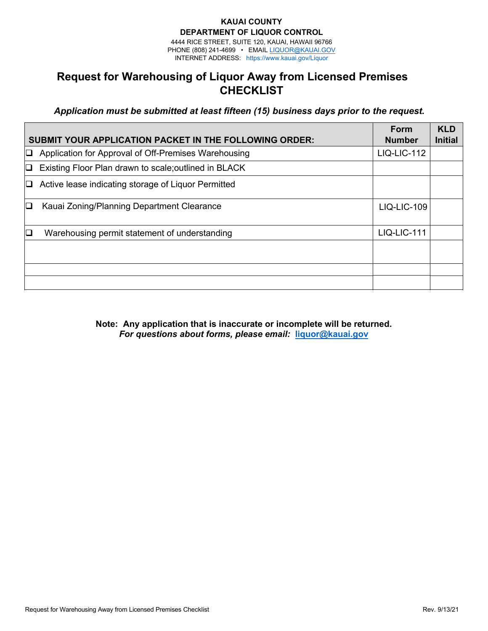### **KAUAI COUNTY DEPARTMENT OF LIQUOR CONTROL**

4444 RICE STREET, SUITE 120, KAUAI, HAWAII 96766 PHONE (808) 241-4699 • EMAIL L[IQUOR@KAUAI.GOV](mailto:HLC@honolulu.gov) INTERNET ADDRESS: ht[tps://www.kauai.gov/Liq](http://www.honolulu.gov/liq)uor

# **Request for Warehousing of Liquor Away from Licensed Premises CHECKLIST**

*Application must be submitted at least fifteen (15) business days prior to the request.* 

|        | <b>SUBMIT YOUR APPLICATION PACKET IN THE FOLLOWING ORDER:</b> | Form<br><b>Number</b> | <b>KLD</b><br><b>Initial</b> |
|--------|---------------------------------------------------------------|-----------------------|------------------------------|
| O      | Application for Approval of Off-Premises Warehousing          | <b>LIQ-LIC-112</b>    |                              |
| O      | Existing Floor Plan drawn to scale; outlined in BLACK         |                       |                              |
| IJ     | Active lease indicating storage of Liquor Permitted           |                       |                              |
| $\Box$ | Kauai Zoning/Planning Department Clearance                    | <b>LIQ-LIC-109</b>    |                              |
| $\Box$ | Warehousing permit statement of understanding                 | <b>LIQ-LIC-111</b>    |                              |
|        |                                                               |                       |                              |
|        |                                                               |                       |                              |
|        |                                                               |                       |                              |

**Note: Any application that is inaccurate or incomplete will be returned.** *For questions about forms, please email:* **liquor@kauai.gov**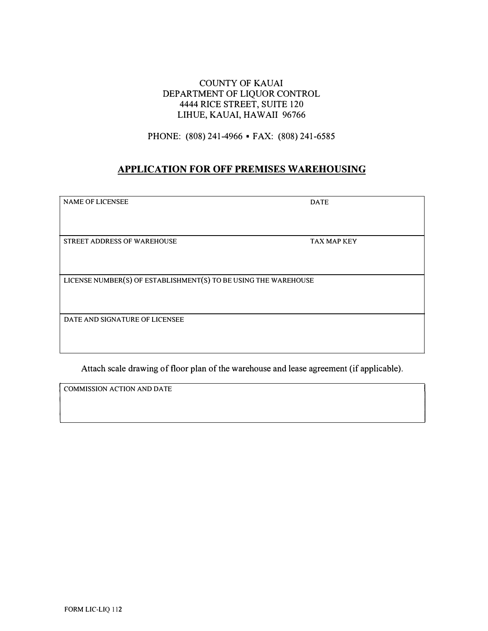## COUNTY OF KAUAI DEPARTMENT OF LIQUOR CONTROL 4444 RICE STREET, SUITE 120 LIHUE, KAUAI, HAWAII 96766

PHONE: (808) 241-4966 • FAX: (808) 241-6585

## **APPLICATION FOR OFF PREMISES WAREHOUSING**

| <b>NAME OF LICENSEE</b>                                         | <b>DATE</b> |  |  |  |
|-----------------------------------------------------------------|-------------|--|--|--|
|                                                                 |             |  |  |  |
|                                                                 |             |  |  |  |
|                                                                 |             |  |  |  |
|                                                                 |             |  |  |  |
| STREET ADDRESS OF WAREHOUSE                                     | TAX MAP KEY |  |  |  |
|                                                                 |             |  |  |  |
|                                                                 |             |  |  |  |
|                                                                 |             |  |  |  |
|                                                                 |             |  |  |  |
| LICENSE NUMBER(S) OF ESTABLISHMENT(S) TO BE USING THE WAREHOUSE |             |  |  |  |
|                                                                 |             |  |  |  |
|                                                                 |             |  |  |  |
|                                                                 |             |  |  |  |
|                                                                 |             |  |  |  |
| DATE AND SIGNATURE OF LICENSEE                                  |             |  |  |  |
|                                                                 |             |  |  |  |
|                                                                 |             |  |  |  |
|                                                                 |             |  |  |  |
|                                                                 |             |  |  |  |

Attach scale drawing of floor plan of the warehouse and lease agreement (if applicable).

COMMISSION ACTION AND DATE

 $\sqrt{\phantom{a}}$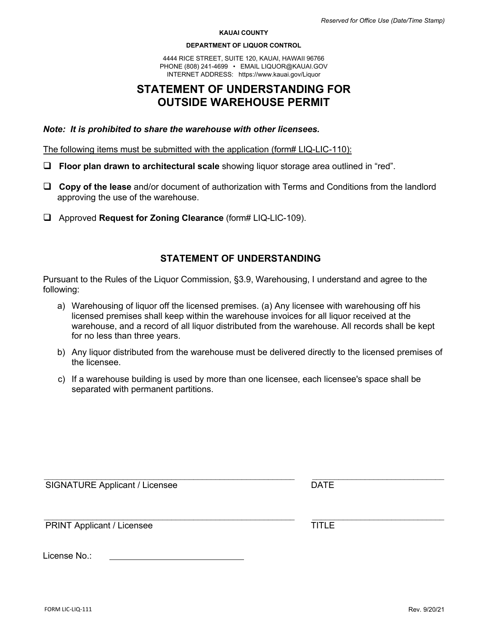#### **KAUAI COUNTY**

#### **DEPARTMENT OF LIQUOR CONTROL**

4444 RICE STREET, SUITE 120, K[AUAI, HAWAII 96766](mailto:HLC@honolulu.gov) PHONE (808) 241-4699 • E[MAIL LIQUOR@KAUAI](http://www.honolulu.gov/liq).GOV INTERNET ADDRESS: https://www.kauai.gov/Liquor

# **STATEMENT OF UNDERSTANDING FOR OUTSIDE WAREHOUSE PERMIT**

### *Note: It is prohibited to share the warehouse with other licensees.*

The following items must be submitted with the application (form# LIQ-LIC-110):

- **Floor plan drawn to architectural scale** showing liquor storage area outlined in "red".
- **Copy of the lease** and/or document of authorization with Terms and Conditions from the landlord approving the use of the warehouse.
- Approved **Request for Zoning Clearance** (form# LIQ-LIC-109).

## **STATEMENT OF UNDERSTANDING**

Pursuant to the Rules of the Liquor Commission, §3.9, Warehousing, I understand and agree to the following:

- a) Warehousing of liquor off the licensed premises. (a) Any licensee with warehousing off his licensed premises shall keep within the warehouse invoices for all liquor received at the warehouse, and a record of all liquor distributed from the warehouse. All records shall be kept for no less than three years.
- b) Any liquor distributed from the warehouse must be delivered directly to the licensed premises of the licensee.
- c) If a warehouse building is used by more than one licensee, each licensee's space shall be separated with permanent partitions.

| <b>SIGNATURE Applicant / Licensee</b> | <b>DATE</b>  |
|---------------------------------------|--------------|
| <b>PRINT Applicant / Licensee</b>     | <b>TITLE</b> |
| License No.:                          |              |